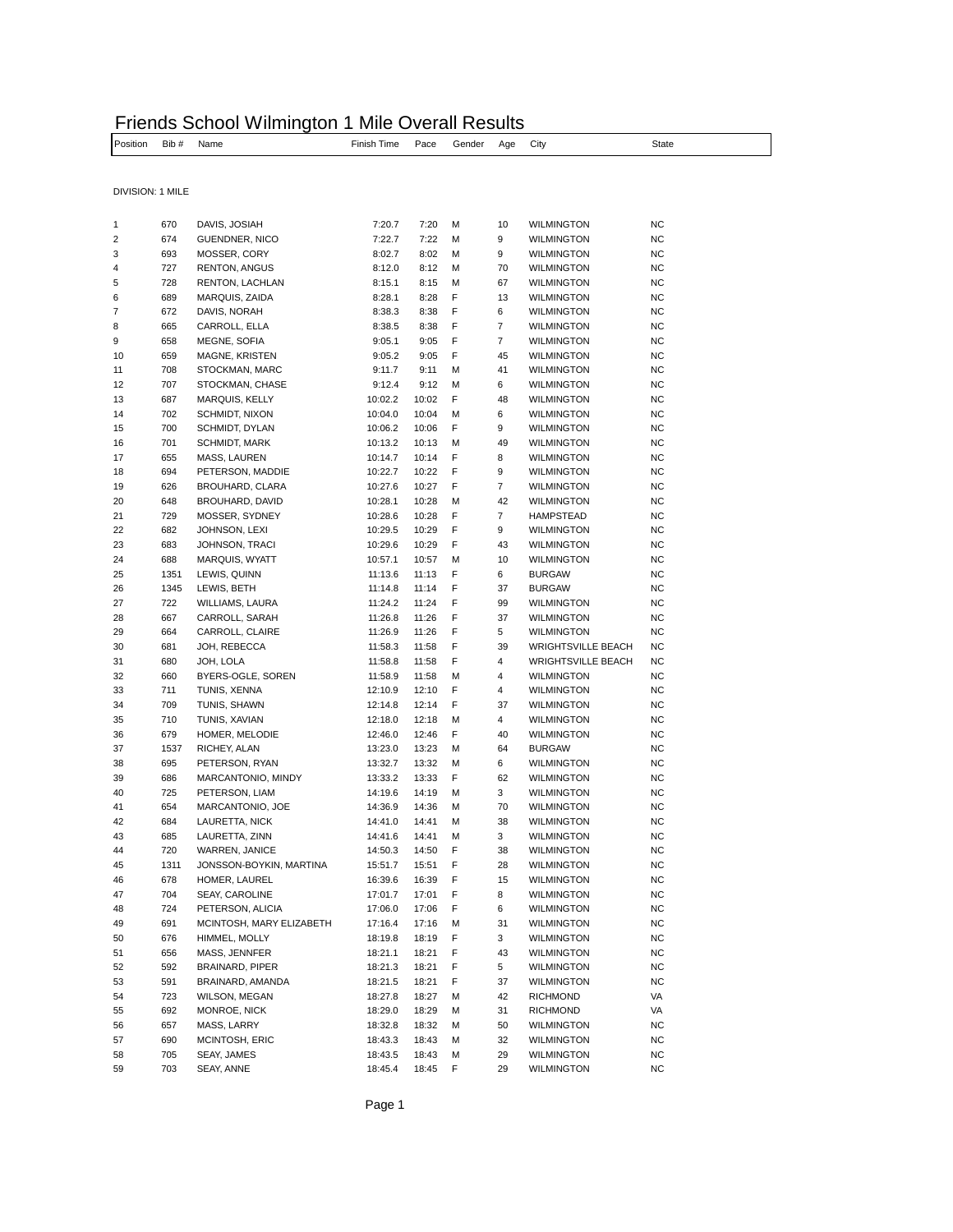| Friends School Wilmington 1 Mile Overall Results |  |  |  |                                  |  |  |  |  |       |  |
|--------------------------------------------------|--|--|--|----------------------------------|--|--|--|--|-------|--|
| Position Bib # Name                              |  |  |  | Finish Time Pace Gender Age City |  |  |  |  | State |  |
|                                                  |  |  |  |                                  |  |  |  |  |       |  |

DIVISION: 1 MILE

| 1                       | 670  | DAVIS, JOSIAH            | 7:20.7  | 7:20  | м | 10             | <b>WILMINGTON</b>         | <b>NC</b> |
|-------------------------|------|--------------------------|---------|-------|---|----------------|---------------------------|-----------|
| $\overline{\mathbf{c}}$ | 674  | GUENDNER, NICO           | 7:22.7  | 7:22  | М | 9              | <b>WILMINGTON</b>         | <b>NC</b> |
| 3                       | 693  | MOSSER, CORY             | 8:02.7  | 8:02  | М | 9              | <b>WILMINGTON</b>         | <b>NC</b> |
| 4                       | 727  | <b>RENTON, ANGUS</b>     | 8:12.0  | 8:12  | М | 70             | <b>WILMINGTON</b>         | <b>NC</b> |
| 5                       | 728  | RENTON, LACHLAN          | 8:15.1  | 8:15  | М | 67             | <b>WILMINGTON</b>         | <b>NC</b> |
| 6                       | 689  | MARQUIS, ZAIDA           | 8:28.1  | 8:28  | F | 13             | <b>WILMINGTON</b>         | <b>NC</b> |
| 7                       | 672  | DAVIS, NORAH             | 8:38.3  | 8:38  | F | 6              | <b>WILMINGTON</b>         | <b>NC</b> |
| 8                       | 665  | CARROLL, ELLA            | 8:38.5  | 8:38  | F | $\overline{7}$ | <b>WILMINGTON</b>         | <b>NC</b> |
| 9                       | 658  | MEGNE, SOFIA             | 9:05.1  | 9:05  | F | $\overline{7}$ | <b>WILMINGTON</b>         | <b>NC</b> |
| 10                      | 659  | MAGNE, KRISTEN           | 9:05.2  | 9:05  | F | 45             | <b>WILMINGTON</b>         | <b>NC</b> |
| 11                      | 708  | STOCKMAN, MARC           | 9:11.7  | 9:11  | М | 41             | <b>WILMINGTON</b>         | <b>NC</b> |
| 12                      | 707  | STOCKMAN, CHASE          | 9:12.4  | 9:12  | М | 6              | <b>WILMINGTON</b>         | <b>NC</b> |
| 13                      | 687  | MARQUIS, KELLY           | 10:02.2 | 10:02 | F | 48             | <b>WILMINGTON</b>         | <b>NC</b> |
| 14                      | 702  | SCHMIDT, NIXON           | 10:04.0 | 10:04 | М | 6              | <b>WILMINGTON</b>         | <b>NC</b> |
| 15                      | 700  | SCHMIDT, DYLAN           | 10:06.2 | 10:06 | F | 9              | <b>WILMINGTON</b>         | <b>NC</b> |
| 16                      | 701  | <b>SCHMIDT, MARK</b>     | 10:13.2 | 10:13 | М | 49             | <b>WILMINGTON</b>         | <b>NC</b> |
| 17                      | 655  | MASS, LAUREN             | 10:14.7 | 10:14 | F | 8              | <b>WILMINGTON</b>         | <b>NC</b> |
| 18                      | 694  | PETERSON, MADDIE         | 10:22.7 | 10:22 | F | 9              | <b>WILMINGTON</b>         | <b>NC</b> |
| 19                      | 626  | BROUHARD, CLARA          | 10:27.6 | 10:27 | F | $\overline{7}$ | <b>WILMINGTON</b>         | <b>NC</b> |
| 20                      | 648  | BROUHARD, DAVID          | 10:28.1 | 10:28 | М | 42             | <b>WILMINGTON</b>         | <b>NC</b> |
| 21                      | 729  | MOSSER, SYDNEY           | 10:28.6 | 10:28 | F | $\overline{7}$ | HAMPSTEAD                 | <b>NC</b> |
| 22                      | 682  | JOHNSON, LEXI            | 10:29.5 | 10:29 | F | 9              | <b>WILMINGTON</b>         | <b>NC</b> |
|                         |      | JOHNSON, TRACI           |         |       | F | 43             | <b>WILMINGTON</b>         |           |
| 23                      | 683  |                          | 10:29.6 | 10:29 |   |                |                           | <b>NC</b> |
| 24                      | 688  | <b>MARQUIS, WYATT</b>    | 10:57.1 | 10:57 | М | 10             | <b>WILMINGTON</b>         | <b>NC</b> |
| 25                      | 1351 | LEWIS, QUINN             | 11:13.6 | 11:13 | F | 6              | <b>BURGAW</b>             | <b>NC</b> |
| 26                      | 1345 | LEWIS, BETH              | 11:14.8 | 11:14 | F | 37             | <b>BURGAW</b>             | <b>NC</b> |
| 27                      | 722  | WILLIAMS, LAURA          | 11:24.2 | 11:24 | F | 99             | <b>WILMINGTON</b>         | <b>NC</b> |
| 28                      | 667  | CARROLL, SARAH           | 11:26.8 | 11:26 | F | 37             | <b>WILMINGTON</b>         | <b>NC</b> |
| 29                      | 664  | CARROLL, CLAIRE          | 11:26.9 | 11:26 | F | 5              | <b>WILMINGTON</b>         | <b>NC</b> |
| 30                      | 681  | JOH, REBECCA             | 11:58.3 | 11:58 | F | 39             | <b>WRIGHTSVILLE BEACH</b> | <b>NC</b> |
| 31                      | 680  | JOH, LOLA                | 11:58.8 | 11:58 | F | 4              | <b>WRIGHTSVILLE BEACH</b> | <b>NC</b> |
| 32                      | 660  | BYERS-OGLE, SOREN        | 11:58.9 | 11:58 | М | 4              | <b>WILMINGTON</b>         | <b>NC</b> |
| 33                      | 711  | TUNIS, XENNA             | 12:10.9 | 12:10 | F | 4              | <b>WILMINGTON</b>         | <b>NC</b> |
| 34                      | 709  | TUNIS, SHAWN             | 12:14.8 | 12:14 | F | 37             | <b>WILMINGTON</b>         | <b>NC</b> |
| 35                      | 710  | TUNIS, XAVIAN            | 12:18.0 | 12:18 | М | 4              | <b>WILMINGTON</b>         | <b>NC</b> |
| 36                      | 679  | HOMER, MELODIE           | 12:46.0 | 12:46 | F | 40             | <b>WILMINGTON</b>         | <b>NC</b> |
| 37                      | 1537 | RICHEY, ALAN             | 13:23.0 | 13:23 | М | 64             | <b>BURGAW</b>             | <b>NC</b> |
| 38                      | 695  | PETERSON, RYAN           | 13:32.7 | 13:32 | М | 6              | <b>WILMINGTON</b>         | <b>NC</b> |
| 39                      | 686  | MARCANTONIO, MINDY       | 13:33.2 | 13:33 | F | 62             | <b>WILMINGTON</b>         | <b>NC</b> |
| 40                      | 725  | PETERSON, LIAM           | 14:19.6 | 14:19 | М | 3              | <b>WILMINGTON</b>         | <b>NC</b> |
| 41                      | 654  | MARCANTONIO, JOE         | 14:36.9 | 14:36 | М | 70             | <b>WILMINGTON</b>         | <b>NC</b> |
| 42                      | 684  | LAURETTA, NICK           | 14:41.0 | 14:41 | М | 38             | <b>WILMINGTON</b>         | <b>NC</b> |
| 43                      | 685  | LAURETTA, ZINN           | 14:41.6 | 14:41 | М | 3              | <b>WILMINGTON</b>         | <b>NC</b> |
| 44                      | 720  | WARREN, JANICE           | 14:50.3 | 14:50 | F | 38             | <b>WILMINGTON</b>         | <b>NC</b> |
| 45                      | 1311 | JONSSON-BOYKIN, MARTINA  | 15:51.7 | 15:51 | F | 28             | <b>WILMINGTON</b>         | <b>NC</b> |
| 46                      | 678  | HOMER, LAUREL            | 16:39.6 | 16:39 | F | 15             | <b>WILMINGTON</b>         | <b>NC</b> |
| 47                      | 704  | SEAY, CAROLINE           | 17:01.7 | 17:01 | F | 8              | <b>WILMINGTON</b>         | <b>NC</b> |
| 48                      | 724  | PETERSON, ALICIA         | 17:06.0 | 17:06 | F | 6              | <b>WILMINGTON</b>         | NC        |
| 49                      | 691  | MCINTOSH, MARY ELIZABETH | 17:16.4 | 17:16 | м | 31             | <b>WILMINGTON</b>         | NC        |
| 50                      | 676  | HIMMEL, MOLLY            | 18:19.8 | 18:19 | F | 3              | WILMINGTON                | NC        |
| 51                      | 656  | MASS, JENNFER            | 18:21.1 | 18:21 | F | 43             | WILMINGTON                | <b>NC</b> |
| 52                      | 592  | BRAINARD, PIPER          | 18:21.3 | 18:21 | F | 5 <sub>5</sub> | <b>WILMINGTON</b>         | <b>NC</b> |
| 53                      | 591  | BRAINARD, AMANDA         | 18:21.5 | 18:21 | F | 37             | WILMINGTON                | NC        |
| 54                      | 723  | WILSON, MEGAN            | 18:27.8 | 18:27 | М | 42             | <b>RICHMOND</b>           | VA        |
| 55                      | 692  | MONROE, NICK             | 18:29.0 | 18:29 | М | 31             | <b>RICHMOND</b>           | VA        |
| 56                      | 657  | MASS, LARRY              | 18:32.8 | 18:32 | М | 50             | WILMINGTON                | <b>NC</b> |
| 57                      | 690  | MCINTOSH, ERIC           | 18:43.3 | 18:43 | М | 32             | <b>WILMINGTON</b>         | <b>NC</b> |
| 58                      | 705  | SEAY, JAMES              | 18:43.5 | 18:43 | М | 29             | WILMINGTON                | <b>NC</b> |
| 59                      | 703  | SEAY, ANNE               | 18:45.4 | 18:45 | F | 29             | <b>WILMINGTON</b>         | NC        |
|                         |      |                          |         |       |   |                |                           |           |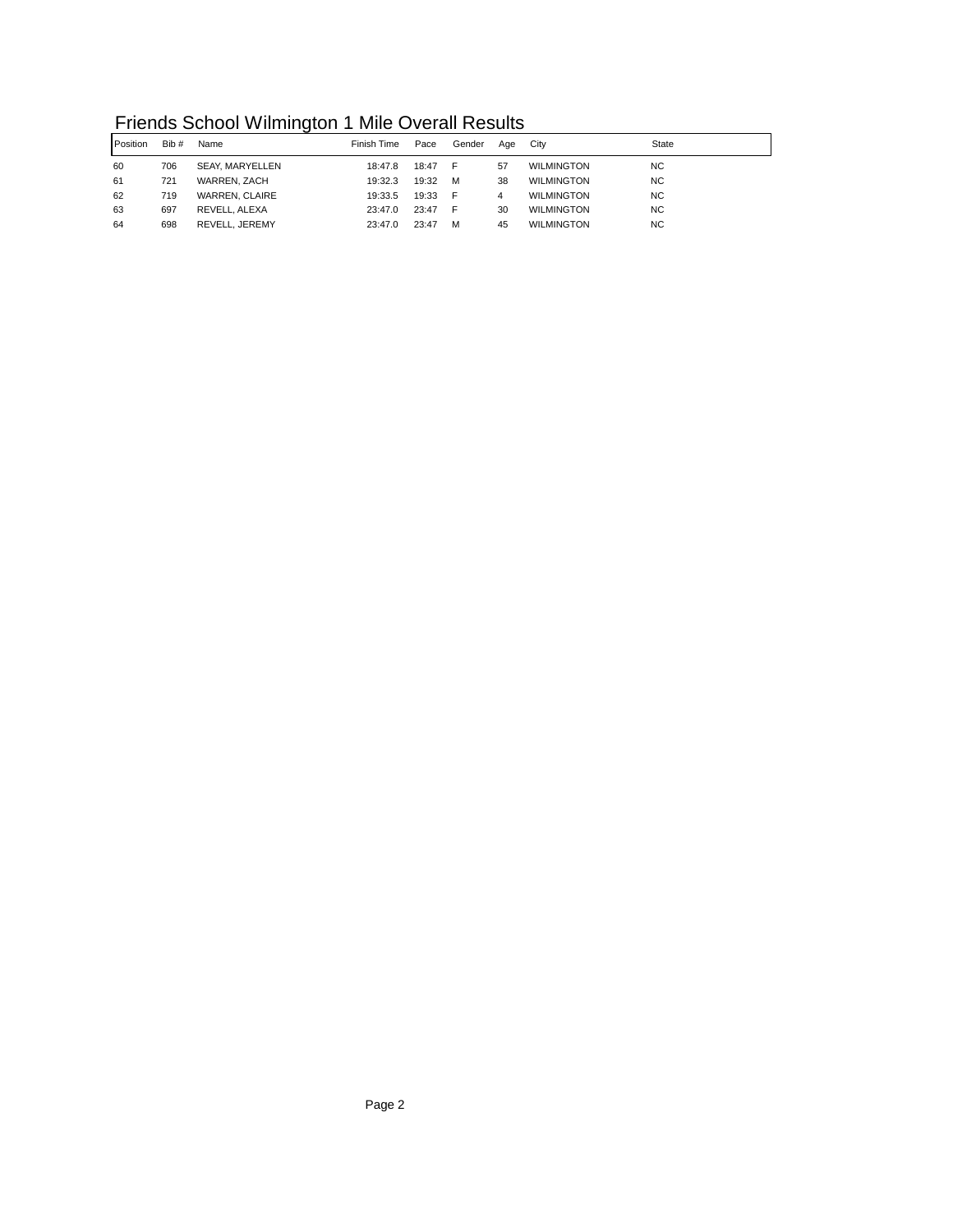| Friends School Wilmington 1 Mile Overall Results |  |
|--------------------------------------------------|--|
|--------------------------------------------------|--|

| Position | Bib # | Name                   | Finish Time | Pace  | Gender | Aae | City              | <b>State</b> |  |
|----------|-------|------------------------|-------------|-------|--------|-----|-------------------|--------------|--|
| 60       | 706   | <b>SEAY, MARYELLEN</b> | 18:47.8     | 18:47 | - F    | 57  | <b>WILMINGTON</b> | <b>NC</b>    |  |
| 61       | 721   | WARREN, ZACH           | 19:32.3     | 19:32 | M      | 38  | <b>WILMINGTON</b> | NC.          |  |
| 62       | 719   | <b>WARREN, CLAIRE</b>  | 19:33.5     | 19:33 | - F    | 4   | <b>WILMINGTON</b> | NC.          |  |
| 63       | 697   | REVELL, ALEXA          | 23:47.0     | 23:47 | - F    | 30  | <b>WILMINGTON</b> | NC.          |  |
| 64       | 698   | REVELL, JEREMY         | 23:47.0     | 23:47 | м      | 45  | <b>WILMINGTON</b> | NC.          |  |